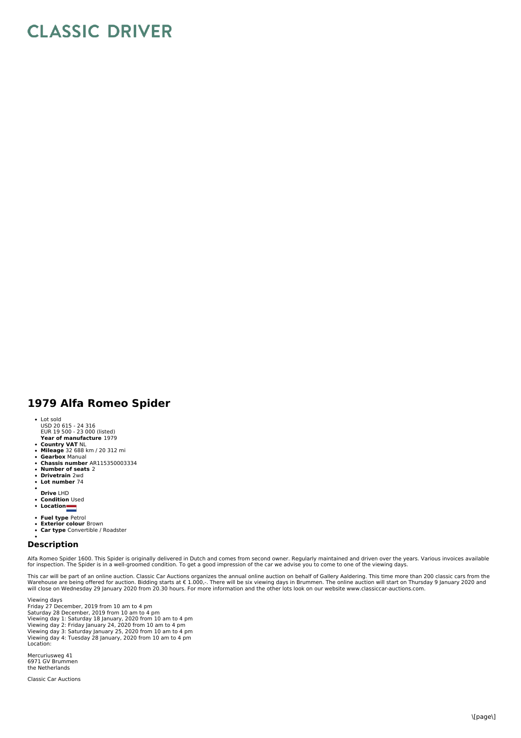## **CLASSIC DRIVER**

## **1979 Alfa Romeo Spider**

- Lot sold
- USD 20 615 24 316 EUR 19 500 23 000 (listed)
- **Year of manufacture** 1979
- 
- **Country VAT** NL **Mileage** 32 688 km / 20 312 mi  $\ddot{\phantom{0}}$ **Gearbox** Manual
- 
- **Chassis number** AR115350003334 **Number of seats** 2
- $\bullet$ **Drivetrain** 2wd
- $\ddot{\phantom{a}}$ **Lot number** 74
- 
- **Drive** LHD **Condition** Used
- **Location**
- 
- **Fuel type** Petrol **Exterior colour** Brown
- **Car type** Convertible / Roadster

## **Description**

Alfa Romeo Spider 1600. This Spider is originally delivered in Dutch and comes from second owner. Regularly maintained and driven over the years. Various invoices available<br>for inspection. The Spider is in a well-groomed c

This car will be part of an online auction. Classic Car Auctions organizes the annual online auction on behalf of Gallery Aaldering. This time more than 200 classic cars from the<br>Warehouse are being offered for auction. Bi

Viewing days Friday 27 December, 2019 from 10 am to 4 pm Saturday 28 December, 2019 from 10 am to 4 pm Viewing day 1: Saturday 18 January, 2020 from 10 am to 4 pm<br>Viewing day 2: Friday January 24, 2020 from 10 am to 4 pm<br>Viewing day 3: Saturday January 25, 2020 from 10 am to 4 pm<br>Viewing day 4: Tuesday 28 January, 2020 from Location:

Mercuriusweg 41 6971 GV Brummen the Netherlands

Classic Car Auctions